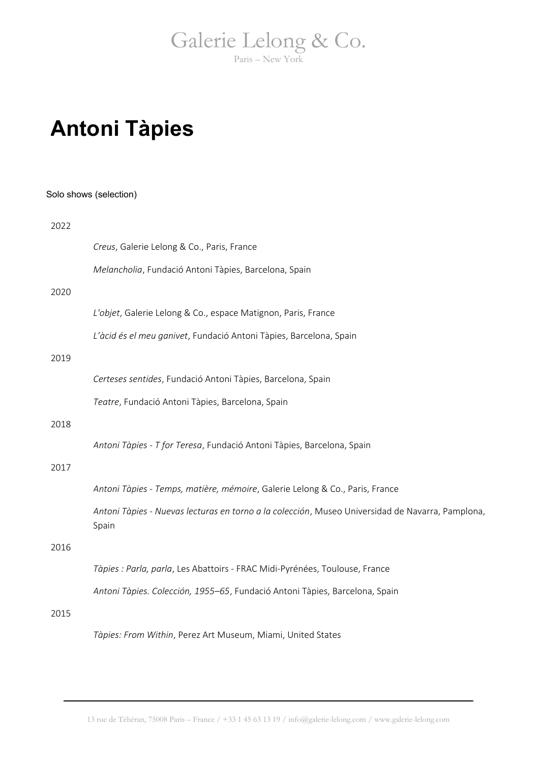## **Antoni Tàpies**

|      | Solo shows (selection)                                                                                    |
|------|-----------------------------------------------------------------------------------------------------------|
| 2022 |                                                                                                           |
|      | Creus, Galerie Lelong & Co., Paris, France                                                                |
|      | Melancholia, Fundació Antoni Tàpies, Barcelona, Spain                                                     |
| 2020 |                                                                                                           |
|      | L'objet, Galerie Lelong & Co., espace Matignon, Paris, France                                             |
|      | L'àcid és el meu ganivet, Fundació Antoni Tàpies, Barcelona, Spain                                        |
| 2019 |                                                                                                           |
|      | Certeses sentides, Fundació Antoni Tàpies, Barcelona, Spain                                               |
|      | Teatre, Fundació Antoni Tàpies, Barcelona, Spain                                                          |
| 2018 |                                                                                                           |
|      | Antoni Tàpies - T for Teresa, Fundació Antoni Tàpies, Barcelona, Spain                                    |
| 2017 |                                                                                                           |
|      | Antoni Tàpies - Temps, matière, mémoire, Galerie Lelong & Co., Paris, France                              |
|      | Antoni Tàpies - Nuevas lecturas en torno a la colección, Museo Universidad de Navarra, Pamplona,<br>Spain |
| 2016 |                                                                                                           |
|      | Tàpies : Parla, parla, Les Abattoirs - FRAC Midi-Pyrénées, Toulouse, France                               |
|      | Antoni Tàpies. Colección, 1955-65, Fundació Antoni Tàpies, Barcelona, Spain                               |
| 2015 |                                                                                                           |
|      | Tàpies: From Within, Perez Art Museum, Miami, United States                                               |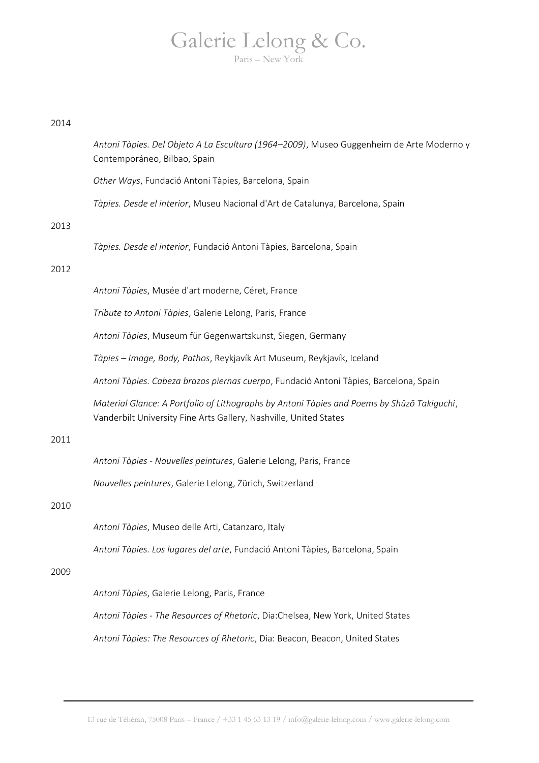### Galerie Lelong & Co.  $PariS = N<sub>P</sub>$

### 2014

*Antoni Tàpies. Del Objeto A La Escultura (1964–2009)*, Museo Guggenheim de Arte Moderno y Contemporáneo, Bilbao, Spain

*Other Ways*, Fundació Antoni Tàpies, Barcelona, Spain

*Tàpies. Desde el interior*, Museu Nacional d'Art de Catalunya, Barcelona, Spain

### 2013

*Tàpies. Desde el interior*, Fundació Antoni Tàpies, Barcelona, Spain

### 2012

*Antoni Tàpies*, Musée d'art moderne, Céret, France

*Tribute to Antoni Tàpies*, Galerie Lelong, Paris, France

*Antoni Tàpies*, Museum für Gegenwartskunst, Siegen, Germany

*Tàpies – Image, Body, Pathos*, Reykjavík Art Museum, Reykjavík, Iceland

*Antoni Tàpies. Cabeza brazos piernas cuerpo*, Fundació Antoni Tàpies, Barcelona, Spain

*Material Glance: A Portfolio of Lithographs by Antoni Tàpies and Poems by Shūzō Takiguchi*, Vanderbilt University Fine Arts Gallery, Nashville, United States

### 2011

*Antoni Tàpies - Nouvelles peintures*, Galerie Lelong, Paris, France

*Nouvelles peintures*, Galerie Lelong, Zürich, Switzerland

### 2010

*Antoni Tàpies*, Museo delle Arti, Catanzaro, Italy

*Antoni Tàpies. Los lugares del arte*, Fundació Antoni Tàpies, Barcelona, Spain

### 2009

*Antoni Tàpies*, Galerie Lelong, Paris, France

*Antoni Tàpies - The Resources of Rhetoric*, Dia:Chelsea, New York, United States

*Antoni Tàpies: The Resources of Rhetoric*, Dia: Beacon, Beacon, United States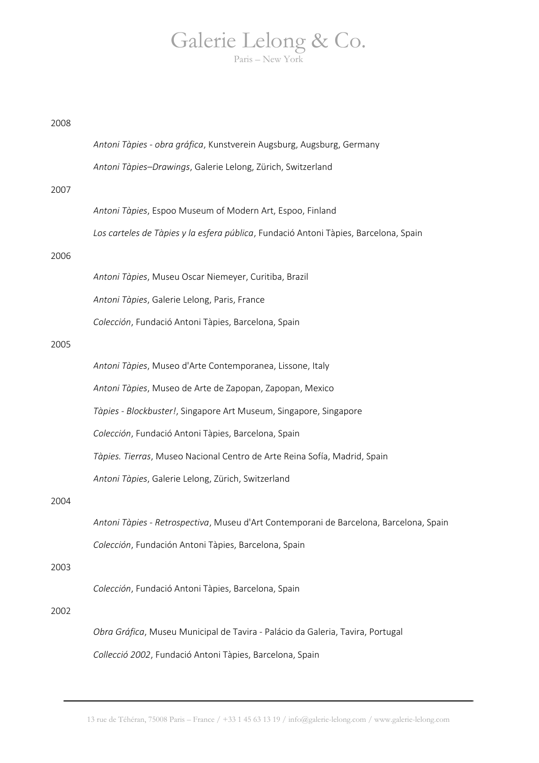| 2008 |                                                                                        |
|------|----------------------------------------------------------------------------------------|
|      | Antoni Tàpies - obra gráfica, Kunstverein Augsburg, Augsburg, Germany                  |
|      | Antoni Tàpies-Drawings, Galerie Lelong, Zürich, Switzerland                            |
| 2007 |                                                                                        |
|      | Antoni Tàpies, Espoo Museum of Modern Art, Espoo, Finland                              |
|      | Los carteles de Tàpies y la esfera pública, Fundació Antoni Tàpies, Barcelona, Spain   |
| 2006 |                                                                                        |
|      | Antoni Tàpies, Museu Oscar Niemeyer, Curitiba, Brazil                                  |
|      | Antoni Tàpies, Galerie Lelong, Paris, France                                           |
|      | Colección, Fundació Antoni Tàpies, Barcelona, Spain                                    |
| 2005 |                                                                                        |
|      | Antoni Tàpies, Museo d'Arte Contemporanea, Lissone, Italy                              |
|      | Antoni Tàpies, Museo de Arte de Zapopan, Zapopan, Mexico                               |
|      | Tàpies - Blockbuster!, Singapore Art Museum, Singapore, Singapore                      |
|      | Colección, Fundació Antoni Tàpies, Barcelona, Spain                                    |
|      | Tàpies. Tierras, Museo Nacional Centro de Arte Reina Sofía, Madrid, Spain              |
|      | Antoni Tàpies, Galerie Lelong, Zürich, Switzerland                                     |
| 2004 |                                                                                        |
|      | Antoni Tàpies - Retrospectiva, Museu d'Art Contemporani de Barcelona, Barcelona, Spain |
|      | Colección, Fundación Antoni Tàpies, Barcelona, Spain                                   |
| 2003 |                                                                                        |
|      | Colección, Fundació Antoni Tàpies, Barcelona, Spain                                    |
| 2002 |                                                                                        |
|      | Obra Gráfica, Museu Municipal de Tavira - Palácio da Galeria, Tavira, Portugal         |
|      | Collecció 2002, Fundació Antoni Tàpies, Barcelona, Spain                               |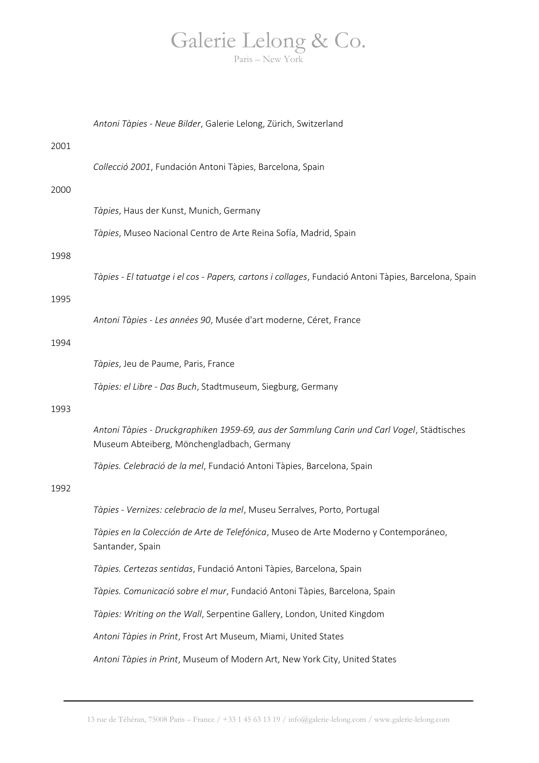*Antoni Tàpies - Neue Bilder*, Galerie Lelong, Zürich, Switzerland 2001 *Collecció 2001*, Fundación Antoni Tàpies, Barcelona, Spain 2000 *Tàpies*, Haus der Kunst, Munich, Germany *Tàpies*, Museo Nacional Centro de Arte Reina Sofía, Madrid, Spain 1998 *Tàpies - El tatuatge i el cos - Papers, cartons i collages*, Fundació Antoni Tàpies, Barcelona, Spain 1995 *Antoni Tàpies - Les années 90*, Musée d'art moderne, Céret, France 1994 *Tàpies*, Jeu de Paume, Paris, France *Tàpies: el Libre - Das Buch*, Stadtmuseum, Siegburg, Germany 1993 *Antoni Tàpies - Druckgraphiken 1959-69, aus der Sammlung Carin und Carl Vogel*, Städtisches Museum Abteiberg, Mönchengladbach, Germany *Tàpies. Celebració de la mel*, Fundació Antoni Tàpies, Barcelona, Spain 1992 *Tàpies - Vernizes: celebracio de la mel*, Museu Serralves, Porto, Portugal *Tàpies en la Colección de Arte de Telefónica*, Museo de Arte Moderno y Contemporáneo, Santander, Spain *Tàpies. Certezas sentidas*, Fundació Antoni Tàpies, Barcelona, Spain *Tàpies. Comunicació sobre el mur*, Fundació Antoni Tàpies, Barcelona, Spain *Tàpies: Writing on the Wall*, Serpentine Gallery, London, United Kingdom *Antoni Tàpies in Print*, Frost Art Museum, Miami, United States *Antoni Tàpies in Print*, Museum of Modern Art, New York City, United States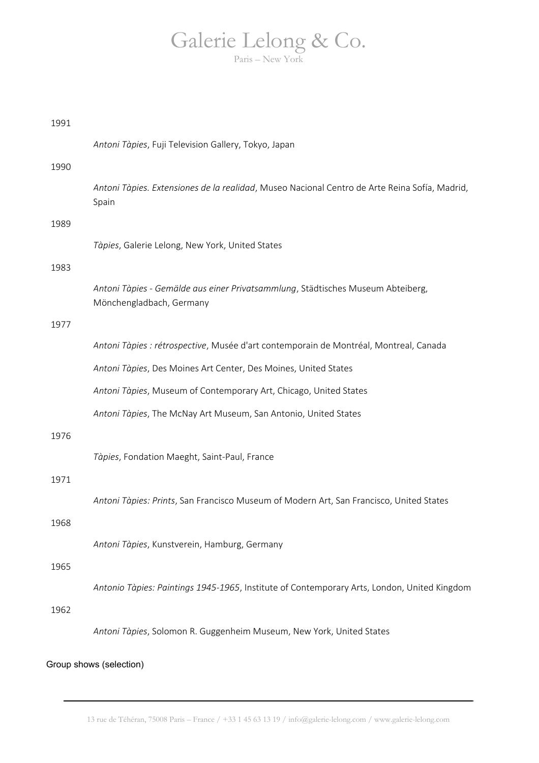| 1991 |                                                                                                             |
|------|-------------------------------------------------------------------------------------------------------------|
|      | Antoni Tàpies, Fuji Television Gallery, Tokyo, Japan                                                        |
| 1990 |                                                                                                             |
|      | Antoni Tàpies. Extensiones de la realidad, Museo Nacional Centro de Arte Reina Sofía, Madrid,<br>Spain      |
| 1989 |                                                                                                             |
|      | Tàpies, Galerie Lelong, New York, United States                                                             |
| 1983 |                                                                                                             |
|      | Antoni Tàpies - Gemälde aus einer Privatsammlung, Städtisches Museum Abteiberg,<br>Mönchengladbach, Germany |
| 1977 |                                                                                                             |
|      | Antoni Tàpies : rétrospective, Musée d'art contemporain de Montréal, Montreal, Canada                       |
|      | Antoni Tàpies, Des Moines Art Center, Des Moines, United States                                             |
|      | Antoni Tàpies, Museum of Contemporary Art, Chicago, United States                                           |
|      | Antoni Tàpies, The McNay Art Museum, San Antonio, United States                                             |
| 1976 |                                                                                                             |
|      | Tàpies, Fondation Maeght, Saint-Paul, France                                                                |
| 1971 |                                                                                                             |
|      | Antoni Tàpies: Prints, San Francisco Museum of Modern Art, San Francisco, United States                     |
| 1968 |                                                                                                             |
|      | Antoni Tàpies, Kunstverein, Hamburg, Germany                                                                |
| 1965 |                                                                                                             |
|      | Antonio Tàpies: Paintings 1945-1965, Institute of Contemporary Arts, London, United Kingdom                 |
| 1962 |                                                                                                             |
|      | Antoni Tàpies, Solomon R. Guggenheim Museum, New York, United States                                        |
|      | Group shows (selection)                                                                                     |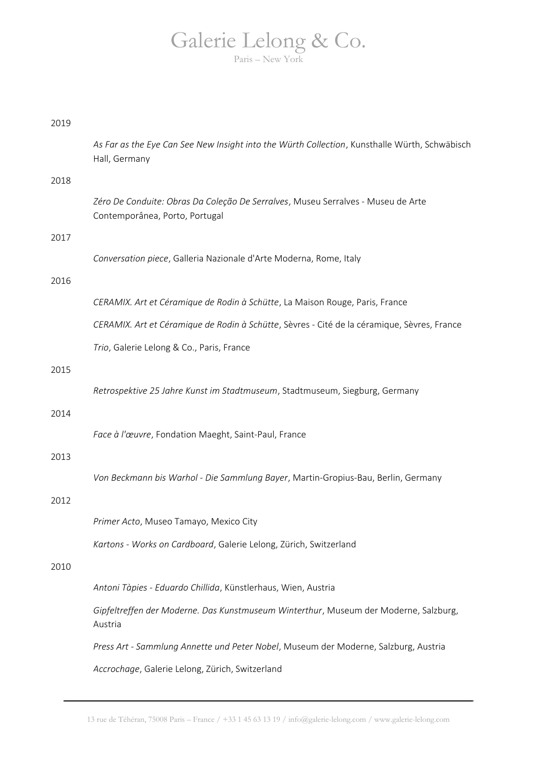| 2019 |                                                                                                                    |
|------|--------------------------------------------------------------------------------------------------------------------|
|      | As Far as the Eye Can See New Insight into the Würth Collection, Kunsthalle Würth, Schwäbisch<br>Hall, Germany     |
| 2018 |                                                                                                                    |
|      | Zéro De Conduite: Obras Da Coleção De Serralves, Museu Serralves - Museu de Arte<br>Contemporânea, Porto, Portugal |
| 2017 |                                                                                                                    |
|      | Conversation piece, Galleria Nazionale d'Arte Moderna, Rome, Italy                                                 |
| 2016 |                                                                                                                    |
|      | CERAMIX. Art et Céramique de Rodin à Schütte, La Maison Rouge, Paris, France                                       |
|      | CERAMIX. Art et Céramique de Rodin à Schütte, Sèvres - Cité de la céramique, Sèvres, France                        |
|      | Trio, Galerie Lelong & Co., Paris, France                                                                          |
| 2015 |                                                                                                                    |
|      | Retrospektive 25 Jahre Kunst im Stadtmuseum, Stadtmuseum, Siegburg, Germany                                        |
| 2014 |                                                                                                                    |
|      | Face à l'œuvre, Fondation Maeght, Saint-Paul, France                                                               |
| 2013 |                                                                                                                    |
|      | Von Beckmann bis Warhol - Die Sammlung Bayer, Martin-Gropius-Bau, Berlin, Germany                                  |
| 2012 |                                                                                                                    |
|      | Primer Acto, Museo Tamayo, Mexico City                                                                             |
|      | Kartons - Works on Cardboard, Galerie Lelong, Zürich, Switzerland                                                  |
| 2010 |                                                                                                                    |
|      | Antoni Tàpies - Eduardo Chillida, Künstlerhaus, Wien, Austria                                                      |
|      | Gipfeltreffen der Moderne. Das Kunstmuseum Winterthur, Museum der Moderne, Salzburg,<br>Austria                    |
|      | Press Art - Sammlung Annette und Peter Nobel, Museum der Moderne, Salzburg, Austria                                |
|      | Accrochage, Galerie Lelong, Zürich, Switzerland                                                                    |
|      |                                                                                                                    |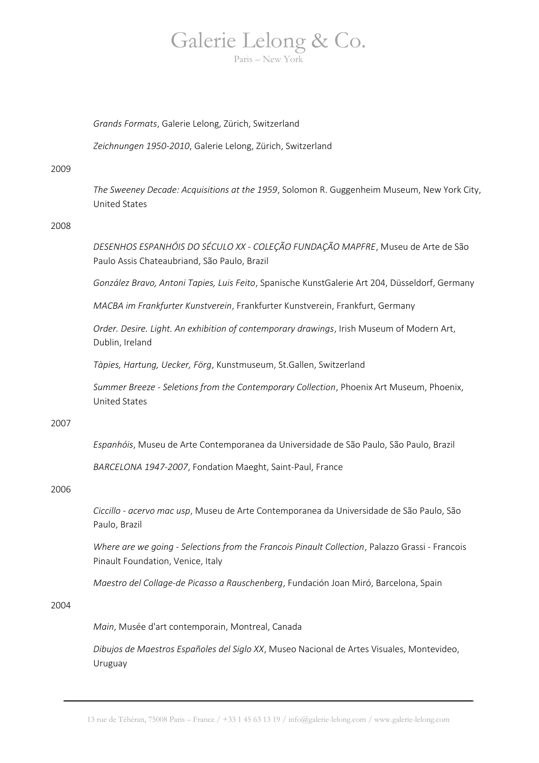# Galerie Lelong & Co.

Paris – New York

### *Grands Formats*, Galerie Lelong, Zürich, Switzerland

*Zeichnungen 1950-2010*, Galerie Lelong, Zürich, Switzerland

2009

*The Sweeney Decade: Acquisitions at the 1959*, Solomon R. Guggenheim Museum, New York City, United States

### 2008

*DESENHOS ESPANHÓIS DO SÉCULO XX - COLEÇÃO FUNDAÇÃO MAPFRE*, Museu de Arte de São Paulo Assis Chateaubriand, São Paulo, Brazil

*González Bravo, Antoni Tapies, Luis Feito*, Spanische KunstGalerie Art 204, Düsseldorf, Germany

*MACBA im Frankfurter Kunstverein*, Frankfurter Kunstverein, Frankfurt, Germany

*Order. Desire. Light. An exhibition of contemporary drawings*, Irish Museum of Modern Art, Dublin, Ireland

*Tàpies, Hartung, Uecker, Förg*, Kunstmuseum, St.Gallen, Switzerland

*Summer Breeze - Seletions from the Contemporary Collection*, Phoenix Art Museum, Phoenix, United States

### 2007

*Espanhóis*, Museu de Arte Contemporanea da Universidade de São Paulo, São Paulo, Brazil

*BARCELONA 1947-2007*, Fondation Maeght, Saint-Paul, France

### 2006

*Ciccillo - acervo mac usp*, Museu de Arte Contemporanea da Universidade de São Paulo, São Paulo, Brazil

*Where are we going - Selections from the Francois Pinault Collection*, Palazzo Grassi - Francois Pinault Foundation, Venice, Italy

*Maestro del Collage-de Picasso a Rauschenberg*, Fundación Joan Miró, Barcelona, Spain

### 2004

*Main*, Musée d'art contemporain, Montreal, Canada

*Dibujos de Maestros Españoles del Siglo XX*, Museo Nacional de Artes Visuales, Montevideo, Uruguay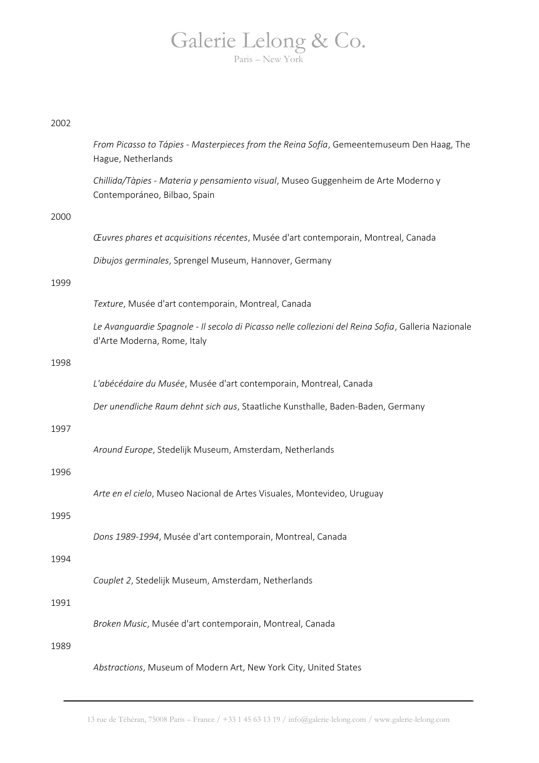### 2002

|      | From Picasso to Tápies - Masterpieces from the Reina Sofía, Gemeentemuseum Den Haag, The<br>Hague, Netherlands                     |
|------|------------------------------------------------------------------------------------------------------------------------------------|
|      | Chillida/Tàpies - Materia y pensamiento visual, Museo Guggenheim de Arte Moderno y<br>Contemporáneo, Bilbao, Spain                 |
| 2000 |                                                                                                                                    |
|      | Œuvres phares et acquisitions récentes, Musée d'art contemporain, Montreal, Canada                                                 |
|      | Dibujos germinales, Sprengel Museum, Hannover, Germany                                                                             |
| 1999 |                                                                                                                                    |
|      | Texture, Musée d'art contemporain, Montreal, Canada                                                                                |
|      | Le Avanguardie Spagnole - Il secolo di Picasso nelle collezioni del Reina Sofia, Galleria Nazionale<br>d'Arte Moderna, Rome, Italy |
| 1998 |                                                                                                                                    |
|      | L'abécédaire du Musée, Musée d'art contemporain, Montreal, Canada                                                                  |
|      | Der unendliche Raum dehnt sich aus, Staatliche Kunsthalle, Baden-Baden, Germany                                                    |
| 1997 |                                                                                                                                    |
|      | Around Europe, Stedelijk Museum, Amsterdam, Netherlands                                                                            |
| 1996 |                                                                                                                                    |
|      | Arte en el cielo, Museo Nacional de Artes Visuales, Montevideo, Uruguay                                                            |
| 1995 |                                                                                                                                    |
|      | Dons 1989-1994, Musée d'art contemporain, Montreal, Canada                                                                         |
| 1994 |                                                                                                                                    |
|      | Couplet 2, Stedelijk Museum, Amsterdam, Netherlands                                                                                |
| 1991 |                                                                                                                                    |
|      | Broken Music, Musée d'art contemporain, Montreal, Canada                                                                           |
| 1989 |                                                                                                                                    |
|      | Abstractions, Museum of Modern Art, New York City, United States                                                                   |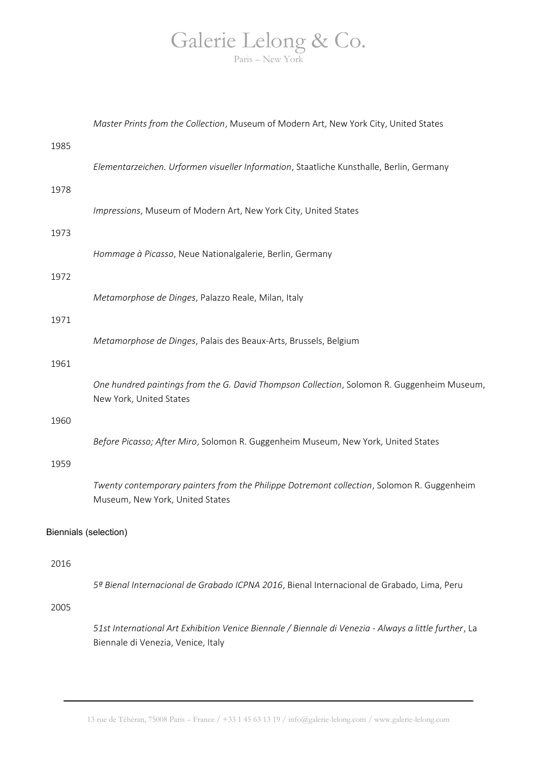|                       | Master Prints from the Collection, Museum of Modern Art, New York City, United States                                                       |
|-----------------------|---------------------------------------------------------------------------------------------------------------------------------------------|
| 1985                  |                                                                                                                                             |
|                       | Elementarzeichen. Urformen visueller Information, Staatliche Kunsthalle, Berlin, Germany                                                    |
| 1978                  | Impressions, Museum of Modern Art, New York City, United States                                                                             |
| 1973                  |                                                                                                                                             |
|                       | Hommage à Picasso, Neue Nationalgalerie, Berlin, Germany                                                                                    |
| 1972                  |                                                                                                                                             |
| 1971                  | Metamorphose de Dinges, Palazzo Reale, Milan, Italy                                                                                         |
|                       | Metamorphose de Dinges, Palais des Beaux-Arts, Brussels, Belgium                                                                            |
| 1961                  |                                                                                                                                             |
|                       | One hundred paintings from the G. David Thompson Collection, Solomon R. Guggenheim Museum,<br>New York, United States                       |
| 1960                  |                                                                                                                                             |
|                       | Before Picasso; After Miro, Solomon R. Guggenheim Museum, New York, United States                                                           |
| 1959                  |                                                                                                                                             |
|                       | Twenty contemporary painters from the Philippe Dotremont collection, Solomon R. Guggenheim<br>Museum, New York, United States               |
| Biennials (selection) |                                                                                                                                             |
| 2016                  |                                                                                                                                             |
|                       | 5ª Bienal Internacional de Grabado ICPNA 2016, Bienal Internacional de Grabado, Lima, Peru                                                  |
| 2005                  |                                                                                                                                             |
|                       | 51st International Art Exhibition Venice Biennale / Biennale di Venezia - Always a little further, La<br>Biennale di Venezia, Venice, Italy |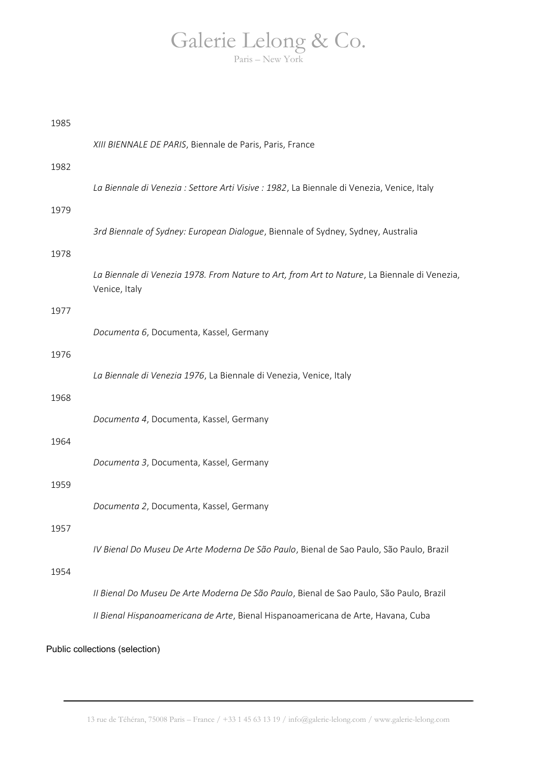| 1985 |                                                                                                               |
|------|---------------------------------------------------------------------------------------------------------------|
|      | XIII BIENNALE DE PARIS, Biennale de Paris, Paris, France                                                      |
| 1982 |                                                                                                               |
|      | La Biennale di Venezia : Settore Arti Visive : 1982, La Biennale di Venezia, Venice, Italy                    |
| 1979 |                                                                                                               |
|      | 3rd Biennale of Sydney: European Dialogue, Biennale of Sydney, Sydney, Australia                              |
| 1978 |                                                                                                               |
|      | La Biennale di Venezia 1978. From Nature to Art, from Art to Nature, La Biennale di Venezia,<br>Venice, Italy |
| 1977 |                                                                                                               |
|      | Documenta 6, Documenta, Kassel, Germany                                                                       |
| 1976 |                                                                                                               |
|      | La Biennale di Venezia 1976, La Biennale di Venezia, Venice, Italy                                            |
| 1968 |                                                                                                               |
|      | Documenta 4, Documenta, Kassel, Germany                                                                       |
| 1964 |                                                                                                               |
|      | Documenta 3, Documenta, Kassel, Germany                                                                       |
| 1959 |                                                                                                               |
|      | Documenta 2, Documenta, Kassel, Germany                                                                       |
| 1957 |                                                                                                               |
|      | IV Bienal Do Museu De Arte Moderna De São Paulo, Bienal de Sao Paulo, São Paulo, Brazil                       |
| 1954 |                                                                                                               |
|      | Il Bienal Do Museu De Arte Moderna De São Paulo, Bienal de Sao Paulo, São Paulo, Brazil                       |
|      | Il Bienal Hispanoamericana de Arte, Bienal Hispanoamericana de Arte, Havana, Cuba                             |
|      |                                                                                                               |
|      | Public collections (selection)                                                                                |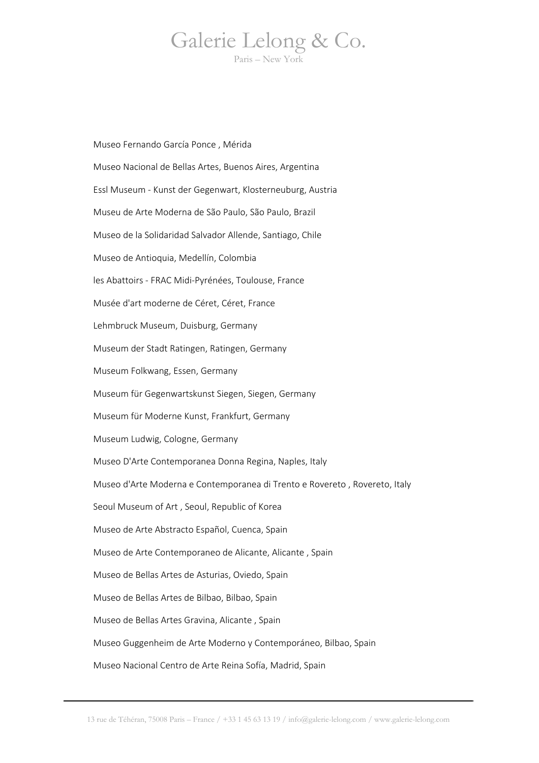Museo Fernando García Ponce , Mérida Museo Nacional de Bellas Artes, Buenos Aires, Argentina Essl Museum - Kunst der Gegenwart, Klosterneuburg, Austria Museu de Arte Moderna de São Paulo, São Paulo, Brazil Museo de la Solidaridad Salvador Allende, Santiago, Chile Museo de Antioquia, Medellín, Colombia les Abattoirs - FRAC Midi-Pyrénées, Toulouse, France Musée d'art moderne de Céret, Céret, France Lehmbruck Museum, Duisburg, Germany Museum der Stadt Ratingen, Ratingen, Germany Museum Folkwang, Essen, Germany Museum für Gegenwartskunst Siegen, Siegen, Germany Museum für Moderne Kunst, Frankfurt, Germany Museum Ludwig, Cologne, Germany Museo D'Arte Contemporanea Donna Regina, Naples, Italy Museo d'Arte Moderna e Contemporanea di Trento e Rovereto , Rovereto, Italy Seoul Museum of Art , Seoul, Republic of Korea Museo de Arte Abstracto Español, Cuenca, Spain Museo de Arte Contemporaneo de Alicante, Alicante , Spain Museo de Bellas Artes de Asturias, Oviedo, Spain Museo de Bellas Artes de Bilbao, Bilbao, Spain Museo de Bellas Artes Gravina, Alicante , Spain Museo Guggenheim de Arte Moderno y Contemporáneo, Bilbao, Spain Museo Nacional Centro de Arte Reina Sofía, Madrid, Spain